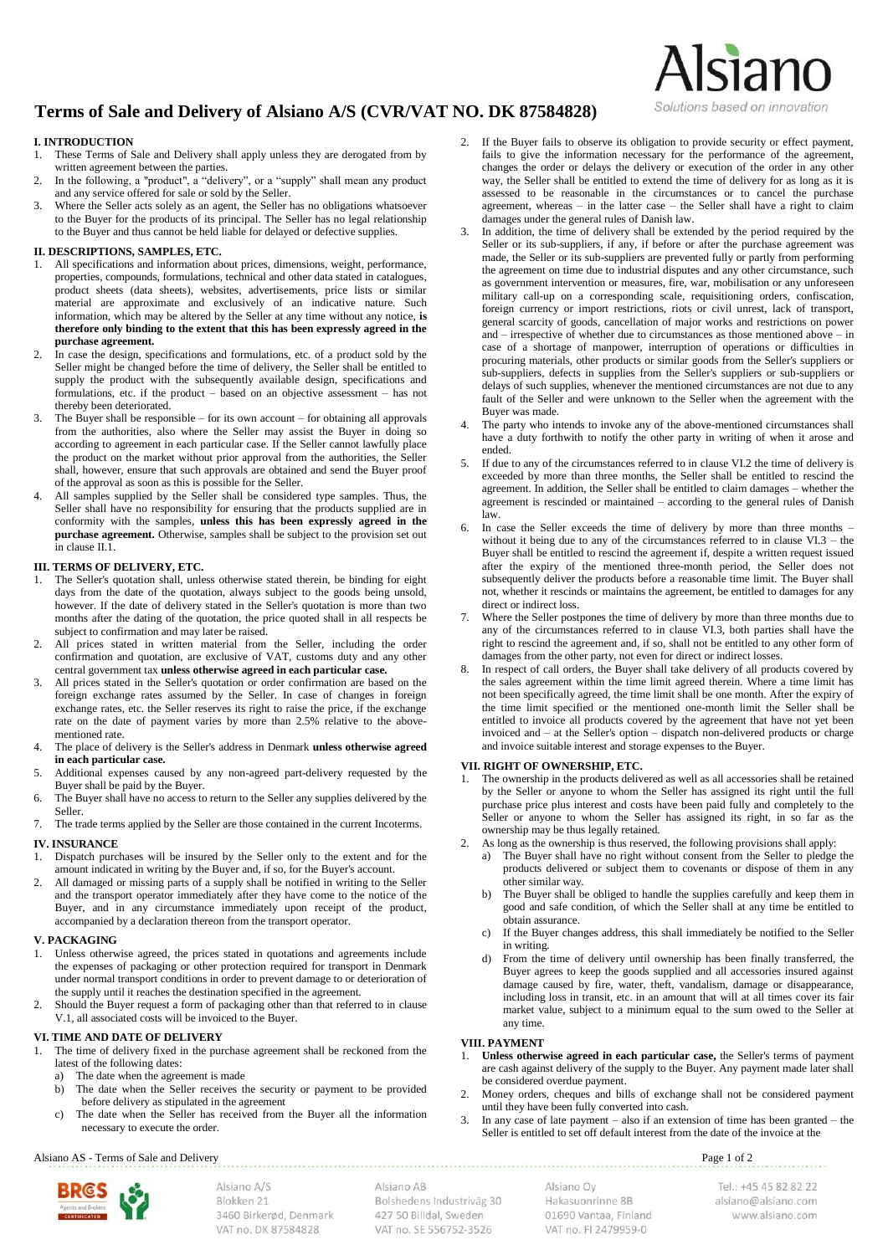# **Terms of Sale and Delivery of Alsiano A/S (CVR/VAT NO. DK 87584828)**

# **I. INTRODUCTION**

- 1. These Terms of Sale and Delivery shall apply unless they are derogated from by written agreement between the parties.
- In the following, a "product", a "delivery", or a "supply" shall mean any product and any service offered for sale or sold by the Seller.
- 3. Where the Seller acts solely as an agent, the Seller has no obligations whatsoever to the Buyer for the products of its principal. The Seller has no legal relationship to the Buyer and thus cannot be held liable for delayed or defective supplies.

# **II. DESCRIPTIONS, SAMPLES, ETC.**

- All specifications and information about prices, dimensions, weight, performance, properties, compounds, formulations, technical and other data stated in catalogues, product sheets (data sheets), websites, advertisements, price lists or similar material are approximate and exclusively of an indicative nature. Such information, which may be altered by the Seller at any time without any notice, **is therefore only binding to the extent that this has been expressly agreed in the purchase agreement.**
- 2. In case the design, specifications and formulations, etc. of a product sold by the Seller might be changed before the time of delivery, the Seller shall be entitled to supply the product with the subsequently available design, specifications and formulations, etc. if the product – based on an objective assessment – has not thereby been deteriorated.
- The Buyer shall be responsible for its own account for obtaining all approvals from the authorities, also where the Seller may assist the Buyer in doing so according to agreement in each particular case. If the Seller cannot lawfully place the product on the market without prior approval from the authorities, the Seller shall, however, ensure that such approvals are obtained and send the Buyer proof of the approval as soon as this is possible for the Seller.
- 4. All samples supplied by the Seller shall be considered type samples. Thus, the Seller shall have no responsibility for ensuring that the products supplied are in conformity with the samples, **unless this has been expressly agreed in the purchase agreement.** Otherwise, samples shall be subject to the provision set out in clause II.1.

## **III. TERMS OF DELIVERY, ETC.**

- 1. The Seller's quotation shall, unless otherwise stated therein, be binding for eight days from the date of the quotation, always subject to the goods being unsold, however. If the date of delivery stated in the Seller's quotation is more than two months after the dating of the quotation, the price quoted shall in all respects be subject to confirmation and may later be raised.
- All prices stated in written material from the Seller, including the order confirmation and quotation, are exclusive of VAT, customs duty and any other central government tax **unless otherwise agreed in each particular case.**
- All prices stated in the Seller's quotation or order confirmation are based on the foreign exchange rates assumed by the Seller. In case of changes in foreign exchange rates, etc. the Seller reserves its right to raise the price, if the exchange rate on the date of payment varies by more than 2.5% relative to the abovementioned rate.
- 4. The place of delivery is the Seller's address in Denmark **unless otherwise agreed in each particular case.**
- 5. Additional expenses caused by any non-agreed part-delivery requested by the Buyer shall be paid by the Buyer.
- The Buyer shall have no access to return to the Seller any supplies delivered by the Seller.
- 7. The trade terms applied by the Seller are those contained in the current Incoterms.

# **IV. INSURANCE**

- 1. Dispatch purchases will be insured by the Seller only to the extent and for the amount indicated in writing by the Buyer and, if so, for the Buyer's account.
- All damaged or missing parts of a supply shall be notified in writing to the Seller and the transport operator immediately after they have come to the notice of the Buyer, and in any circumstance immediately upon receipt of the product, accompanied by a declaration thereon from the transport operator.

#### **V. PACKAGING**

- 1. Unless otherwise agreed, the prices stated in quotations and agreements include the expenses of packaging or other protection required for transport in Denmark under normal transport conditions in order to prevent damage to or deterioration of the supply until it reaches the destination specified in the agreement.
- 2. Should the Buyer request a form of packaging other than that referred to in clause V.1, all associated costs will be invoiced to the Buyer.

## **VI. TIME AND DATE OF DELIVERY**

- 1. The time of delivery fixed in the purchase agreement shall be reckoned from the latest of the following dates:
	- a) The date when the agreement is made
	- b) The date when the Seller receives the security or payment to be provided before delivery as stipulated in the agreement
	- c) The date when the Seller has received from the Buyer all the information necessary to execute the order.

2. If the Buyer fails to observe its obligation to provide security or effect payment, fails to give the information necessary for the performance of the agreement, changes the order or delays the delivery or execution of the order in any other way, the Seller shall be entitled to extend the time of delivery for as long as it is assessed to be reasonable in the circumstances or to cancel the purchase agreement, whereas – in the latter case – the Seller shall have a right to claim damages under the general rules of Danish law.

Alsiano

Solutions based on innovation

- In addition, the time of delivery shall be extended by the period required by the Seller or its sub-suppliers, if any, if before or after the purchase agreement was made, the Seller or its sub-suppliers are prevented fully or partly from performing the agreement on time due to industrial disputes and any other circumstance, such as government intervention or measures, fire, war, mobilisation or any unforeseen military call-up on a corresponding scale, requisitioning orders, confiscation, foreign currency or import restrictions, riots or civil unrest, lack of transport, general scarcity of goods, cancellation of major works and restrictions on power and – irrespective of whether due to circumstances as those mentioned above – in case of a shortage of manpower, interruption of operations or difficulties in procuring materials, other products or similar goods from the Seller's suppliers or sub-suppliers, defects in supplies from the Seller's suppliers or sub-suppliers or delays of such supplies, whenever the mentioned circumstances are not due to any fault of the Seller and were unknown to the Seller when the agreement with the Buyer was made.
- 4. The party who intends to invoke any of the above-mentioned circumstances shall have a duty forthwith to notify the other party in writing of when it arose and ended.
- 5. If due to any of the circumstances referred to in clause VI.2 the time of delivery is exceeded by more than three months, the Seller shall be entitled to rescind the agreement. In addition, the Seller shall be entitled to claim damages – whether the agreement is rescinded or maintained – according to the general rules of Danish law.
- In case the Seller exceeds the time of delivery by more than three months without it being due to any of the circumstances referred to in clause  $VI.3$  – the Buyer shall be entitled to rescind the agreement if, despite a written request issued after the expiry of the mentioned three-month period, the Seller does not subsequently deliver the products before a reasonable time limit. The Buyer shall not, whether it rescinds or maintains the agreement, be entitled to damages for any direct or indirect loss.
- Where the Seller postpones the time of delivery by more than three months due to any of the circumstances referred to in clause VI.3, both parties shall have the right to rescind the agreement and, if so, shall not be entitled to any other form of damages from the other party, not even for direct or indirect losses.
- In respect of call orders, the Buyer shall take delivery of all products covered by the sales agreement within the time limit agreed therein. Where a time limit has not been specifically agreed, the time limit shall be one month. After the expiry of the time limit specified or the mentioned one-month limit the Seller shall be entitled to invoice all products covered by the agreement that have not yet been invoiced and – at the Seller's option – dispatch non-delivered products or charge and invoice suitable interest and storage expenses to the Buyer.

## **VII. RIGHT OF OWNERSHIP, ETC.**

- 1. The ownership in the products delivered as well as all accessories shall be retained by the Seller or anyone to whom the Seller has assigned its right until the full purchase price plus interest and costs have been paid fully and completely to the Seller or anyone to whom the Seller has assigned its right, in so far as the ownership may be thus legally retained.
- 2. As long as the ownership is thus reserved, the following provisions shall apply:
	- a) The Buyer shall have no right without consent from the Seller to pledge the products delivered or subject them to covenants or dispose of them in any other similar way.
	- b) The Buyer shall be obliged to handle the supplies carefully and keep them in good and safe condition, of which the Seller shall at any time be entitled to obtain assurance.
	- If the Buyer changes address, this shall immediately be notified to the Seller in writing.
	- d) From the time of delivery until ownership has been finally transferred, the Buyer agrees to keep the goods supplied and all accessories insured against damage caused by fire, water, theft, vandalism, damage or disappearance, including loss in transit, etc. in an amount that will at all times cover its fair market value, subject to a minimum equal to the sum owed to the Seller at any time.

#### **VIII. PAYMENT**

- 1. **Unless otherwise agreed in each particular case,** the Seller's terms of payment are cash against delivery of the supply to the Buyer. Any payment made later shall be considered overdue payment.
- 2. Money orders, cheques and bills of exchange shall not be considered payment until they have been fully converted into cash.
- 3. In any case of late payment also if an extension of time has been granted the Seller is entitled to set off default interest from the date of the invoice at the

Alsiano AS - Terms of Sale and Delivery Page 1 of 2



Alsiano AB Bolshedens Industriväg 30 427 50 Billdal, Sweden VAT no. SE 556752-3526

Alsiano Ov Hakasuonrinne 8B 01690 Vantaa, Finland VAT no. FL2479959-0

Tel.: +45 45 82 82 22 alsiano@alsiano.com www.alsiano.com